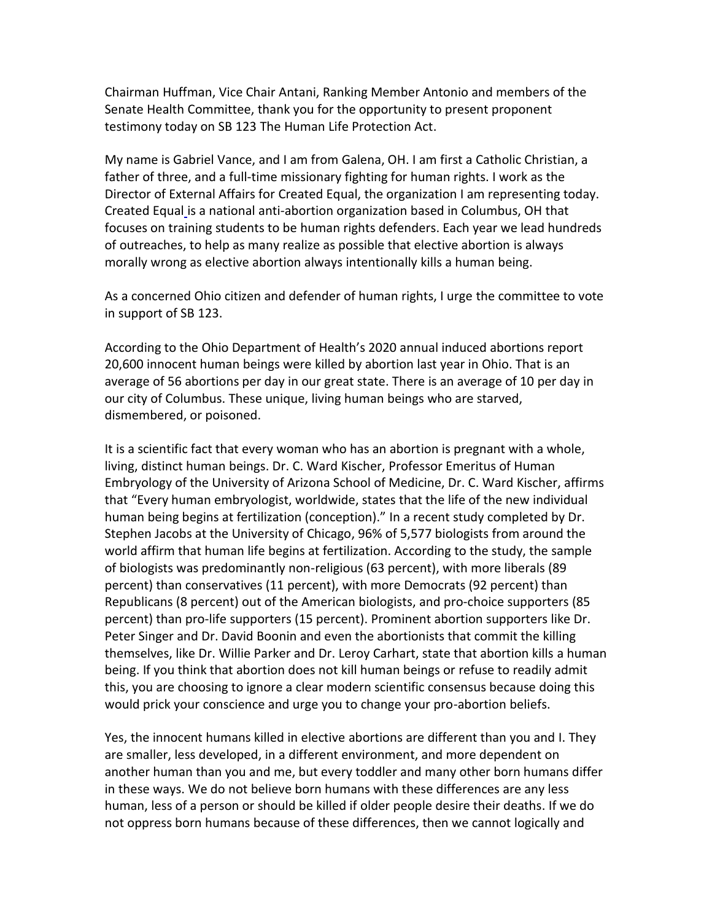Chairman Huffman, Vice Chair Antani, Ranking Member Antonio and members of the Senate Health Committee, thank you for the opportunity to present proponent testimony today on SB 123 The Human Life Protection Act.

My name is Gabriel Vance, and I am from Galena, OH. I am first a Catholic Christian, a father of three, and a full-time missionary fighting for human rights. I work as the Director of External Affairs for Created Equal, the organization I am representing today. Created Equal is a national anti-abortion organization based in Columbus, OH that focuses on training students to be human rights defenders. Each year we lead hundreds of outreaches, to help as many realize as possible that elective abortion is always morally wrong as elective abortion always intentionally kills a human being.

As a concerned Ohio citizen and defender of human rights, I urge the committee to vote in support of SB 123.

According to the Ohio Department of Health's 2020 annual induced abortions report 20,600 innocent human beings were killed by abortion last year in Ohio. That is an average of 56 abortions per day in our great state. There is an average of 10 per day in our city of Columbus. These unique, living human beings who are starved, dismembered, or poisoned.

It is a scientific fact that every woman who has an abortion is pregnant with a whole, living, distinct human beings. Dr. C. Ward Kischer, Professor Emeritus of Human Embryology of the University of Arizona School of Medicine, Dr. C. Ward Kischer, affirms that "Every human embryologist, worldwide, states that the life of the new individual human being begins at fertilization (conception)." In a recent study completed by Dr. Stephen Jacobs at the University of Chicago, 96% of 5,577 biologists from around the world affirm that human life begins at fertilization. According to the study, the sample of biologists was predominantly non-religious (63 percent), with more liberals (89 percent) than conservatives (11 percent), with more Democrats (92 percent) than Republicans (8 percent) out of the American biologists, and pro-choice supporters (85 percent) than pro-life supporters (15 percent). Prominent abortion supporters like Dr. Peter Singer and Dr. David Boonin and even the abortionists that commit the killing themselves, like Dr. Willie Parker and Dr. Leroy Carhart, state that abortion kills a human being. If you think that abortion does not kill human beings or refuse to readily admit this, you are choosing to ignore a clear modern scientific consensus because doing this would prick your conscience and urge you to change your pro-abortion beliefs.

Yes, the innocent humans killed in elective abortions are different than you and I. They are smaller, less developed, in a different environment, and more dependent on another human than you and me, but every toddler and many other born humans differ in these ways. We do not believe born humans with these differences are any less human, less of a person or should be killed if older people desire their deaths. If we do not oppress born humans because of these differences, then we cannot logically and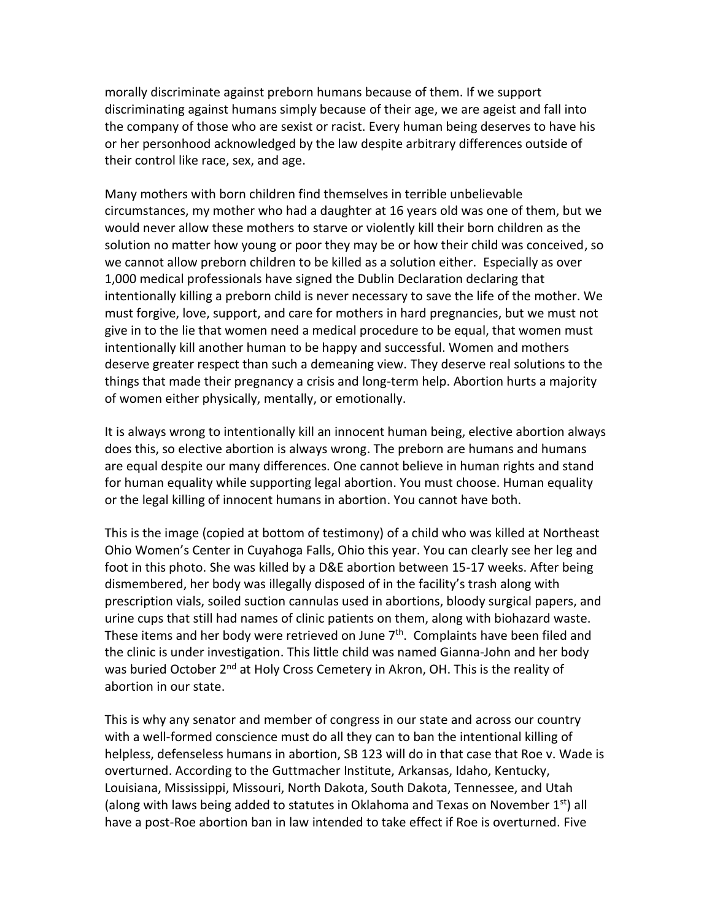morally discriminate against preborn humans because of them. If we support discriminating against humans simply because of their age, we are ageist and fall into the company of those who are sexist or racist. Every human being deserves to have his or her personhood acknowledged by the law despite arbitrary differences outside of their control like race, sex, and age.

Many mothers with born children find themselves in terrible unbelievable circumstances, my mother who had a daughter at 16 years old was one of them, but we would never allow these mothers to starve or violently kill their born children as the solution no matter how young or poor they may be or how their child was conceived, so we cannot allow preborn children to be killed as a solution either. Especially as over 1,000 medical professionals have signed the Dublin Declaration declaring that intentionally killing a preborn child is never necessary to save the life of the mother. We must forgive, love, support, and care for mothers in hard pregnancies, but we must not give in to the lie that women need a medical procedure to be equal, that women must intentionally kill another human to be happy and successful. Women and mothers deserve greater respect than such a demeaning view. They deserve real solutions to the things that made their pregnancy a crisis and long-term help. Abortion hurts a majority of women either physically, mentally, or emotionally.

It is always wrong to intentionally kill an innocent human being, elective abortion always does this, so elective abortion is always wrong. The preborn are humans and humans are equal despite our many differences. One cannot believe in human rights and stand for human equality while supporting legal abortion. You must choose. Human equality or the legal killing of innocent humans in abortion. You cannot have both.

This is the image (copied at bottom of testimony) of a child who was killed at Northeast Ohio Women's Center in Cuyahoga Falls, Ohio this year. You can clearly see her leg and foot in this photo. She was killed by a D&E abortion between 15-17 weeks. After being dismembered, her body was illegally disposed of in the facility's trash along with prescription vials, soiled suction cannulas used in abortions, bloody surgical papers, and urine cups that still had names of clinic patients on them, along with biohazard waste. These items and her body were retrieved on June  $7<sup>th</sup>$ . Complaints have been filed and the clinic is under investigation. This little child was named Gianna-John and her body was buried October 2<sup>nd</sup> at Holy Cross Cemetery in Akron, OH. This is the reality of abortion in our state.

This is why any senator and member of congress in our state and across our country with a well-formed conscience must do all they can to ban the intentional killing of helpless, defenseless humans in abortion, SB 123 will do in that case that Roe v. Wade is overturned. According to the Guttmacher Institute, Arkansas, Idaho, Kentucky, Louisiana, Mississippi, Missouri, North Dakota, South Dakota, Tennessee, and Utah (along with laws being added to statutes in Oklahoma and Texas on November 1<sup>st</sup>) all have a post-Roe abortion ban in law intended to take effect if Roe is overturned. Five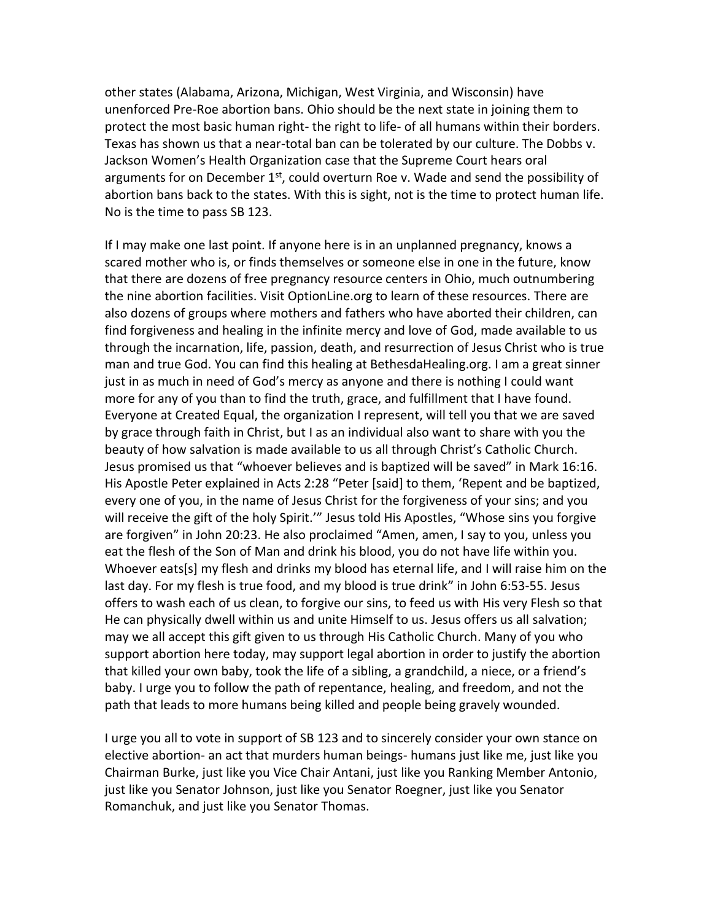other states (Alabama, Arizona, Michigan, West Virginia, and Wisconsin) have unenforced Pre-Roe abortion bans. Ohio should be the next state in joining them to protect the most basic human right- the right to life- of all humans within their borders. Texas has shown us that a near-total ban can be tolerated by our culture. The Dobbs v. Jackson Women's Health Organization case that the Supreme Court hears oral arguments for on December  $1<sup>st</sup>$ , could overturn Roe v. Wade and send the possibility of abortion bans back to the states. With this is sight, not is the time to protect human life. No is the time to pass SB 123.

If I may make one last point. If anyone here is in an unplanned pregnancy, knows a scared mother who is, or finds themselves or someone else in one in the future, know that there are dozens of free pregnancy resource centers in Ohio, much outnumbering the nine abortion facilities. Visit OptionLine.org to learn of these resources. There are also dozens of groups where mothers and fathers who have aborted their children, can find forgiveness and healing in the infinite mercy and love of God, made available to us through the incarnation, life, passion, death, and resurrection of Jesus Christ who is true man and true God. You can find this healing at BethesdaHealing.org. I am a great sinner just in as much in need of God's mercy as anyone and there is nothing I could want more for any of you than to find the truth, grace, and fulfillment that I have found. Everyone at Created Equal, the organization I represent, will tell you that we are saved by grace through faith in Christ, but I as an individual also want to share with you the beauty of how salvation is made available to us all through Christ's Catholic Church. Jesus promised us that "whoever believes and is baptized will be saved" in Mark 16:16. His Apostle Peter explained in Acts 2:28 "Peter [said] to them, 'Repent and be baptized, every one of you, in the name of Jesus Christ for the forgiveness of your sins; and you will receive the gift of the holy Spirit.'" Jesus told His Apostles, "Whose sins you forgive are forgiven" in John 20:23. He also proclaimed "Amen, amen, I say to you, unless you eat the flesh of the Son of Man and drink his blood, you do not have life within you. Whoever eats[s] my flesh and drinks my blood has eternal life, and I will raise him on the last day. For my flesh is true food, and my blood is true drink" in John 6:53-55. Jesus offers to wash each of us clean, to forgive our sins, to feed us with His very Flesh so that He can physically dwell within us and unite Himself to us. Jesus offers us all salvation; may we all accept this gift given to us through His Catholic Church. Many of you who support abortion here today, may support legal abortion in order to justify the abortion that killed your own baby, took the life of a sibling, a grandchild, a niece, or a friend's baby. I urge you to follow the path of repentance, healing, and freedom, and not the path that leads to more humans being killed and people being gravely wounded.

I urge you all to vote in support of SB 123 and to sincerely consider your own stance on elective abortion- an act that murders human beings- humans just like me, just like you Chairman Burke, just like you Vice Chair Antani, just like you Ranking Member Antonio, just like you Senator Johnson, just like you Senator Roegner, just like you Senator Romanchuk, and just like you Senator Thomas.